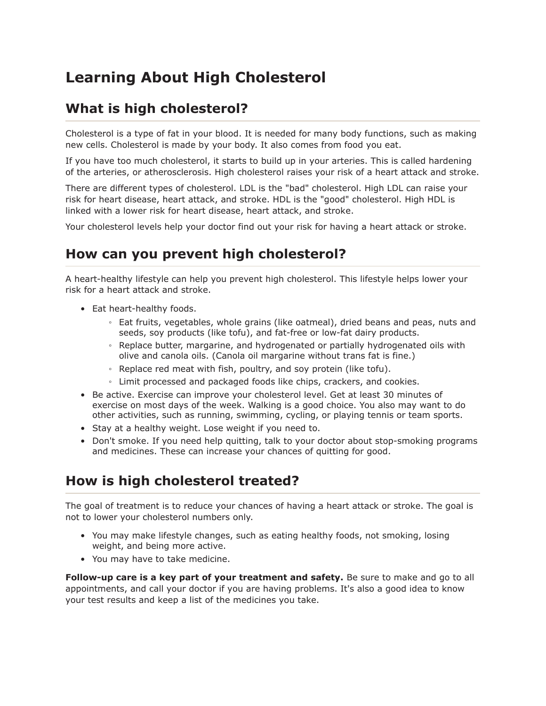## **Learning About High Cholesterol**

## What is high cholesterol?

Cholesterol is a type of fat in your blood. It is needed for many body functions, such as making new cells. Cholesterol is made by your body. It also comes from food you eat.

If you have too much cholesterol, it starts to build up in your arteries. This is called hardening of the arteries, or atherosclerosis. High cholesterol raises your risk of a heart attack and stroke.

There are different types of cholesterol. LDL is the "bad" cholesterol. High LDL can raise your risk for heart disease, heart attack, and stroke. HDL is the "good" cholesterol. High HDL is linked with a lower risk for heart disease, heart attack, and stroke.

Your cholesterol levels help your doctor find out your risk for having a heart attack or stroke.

## How can you prevent high cholesterol?

A heart-healthy lifestyle can help you prevent high cholesterol. This lifestyle helps lower your risk for a heart attack and stroke.

- Eat heart-healthy foods.
	- Eat fruits, vegetables, whole grains (like oatmeal), dried beans and peas, nuts and seeds, soy products (like tofu), and fat-free or low-fat dairy products.
	- . Replace butter, margarine, and hydrogenated or partially hydrogenated oils with olive and canola oils. (Canola oil margarine without trans fat is fine.)
	- Replace red meat with fish, poultry, and soy protein (like tofu).
	- Limit processed and packaged foods like chips, crackers, and cookies.
- Be active. Exercise can improve your cholesterol level. Get at least 30 minutes of exercise on most days of the week. Walking is a good choice. You also may want to do other activities, such as running, swimming, cycling, or playing tennis or team sports.
- Stay at a healthy weight. Lose weight if you need to.
- Don't smoke. If you need help quitting, talk to your doctor about stop-smoking programs and medicines. These can increase your chances of quitting for good.

## How is high cholesterol treated?

The goal of treatment is to reduce your chances of having a heart attack or stroke. The goal is not to lower your cholesterol numbers only.

- You may make lifestyle changes, such as eating healthy foods, not smoking, losing weight, and being more active.
- You may have to take medicine.

Follow-up care is a key part of your treatment and safety. Be sure to make and go to all appointments, and call your doctor if you are having problems. It's also a good idea to know your test results and keep a list of the medicines you take.